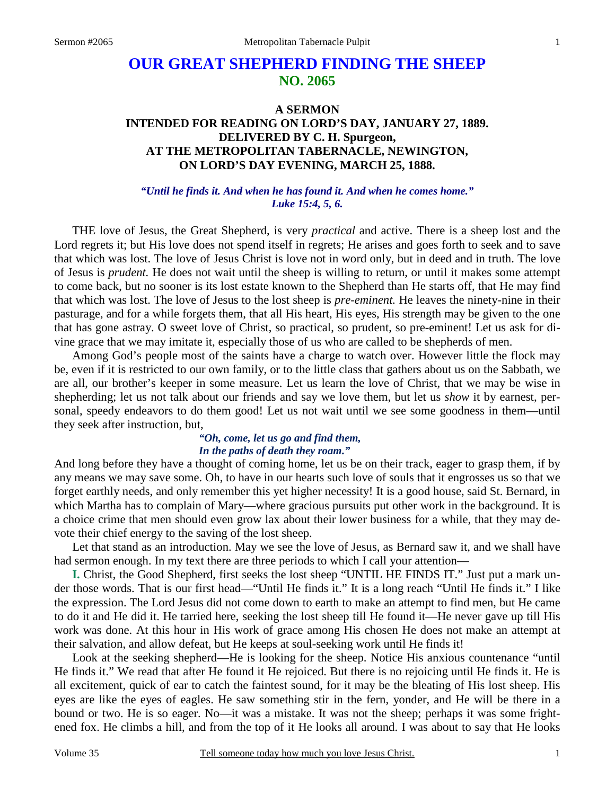# **OUR GREAT SHEPHERD FINDING THE SHEEP NO. 2065**

# **A SERMON INTENDED FOR READING ON LORD'S DAY, JANUARY 27, 1889. DELIVERED BY C. H. Spurgeon, AT THE METROPOLITAN TABERNACLE, NEWINGTON, ON LORD'S DAY EVENING, MARCH 25, 1888.**

*"Until he finds it. And when he has found it. And when he comes home." Luke 15:4, 5, 6.* 

THE love of Jesus, the Great Shepherd, is very *practical* and active. There is a sheep lost and the Lord regrets it; but His love does not spend itself in regrets; He arises and goes forth to seek and to save that which was lost. The love of Jesus Christ is love not in word only, but in deed and in truth. The love of Jesus is *prudent.* He does not wait until the sheep is willing to return, or until it makes some attempt to come back, but no sooner is its lost estate known to the Shepherd than He starts off, that He may find that which was lost. The love of Jesus to the lost sheep is *pre-eminent.* He leaves the ninety-nine in their pasturage, and for a while forgets them, that all His heart, His eyes, His strength may be given to the one that has gone astray. O sweet love of Christ, so practical, so prudent, so pre-eminent! Let us ask for divine grace that we may imitate it, especially those of us who are called to be shepherds of men.

Among God's people most of the saints have a charge to watch over. However little the flock may be, even if it is restricted to our own family, or to the little class that gathers about us on the Sabbath, we are all, our brother's keeper in some measure. Let us learn the love of Christ, that we may be wise in shepherding; let us not talk about our friends and say we love them, but let us *show* it by earnest, personal, speedy endeavors to do them good! Let us not wait until we see some goodness in them—until they seek after instruction, but,

# *"Oh, come, let us go and find them, In the paths of death they roam."*

And long before they have a thought of coming home, let us be on their track, eager to grasp them, if by any means we may save some. Oh, to have in our hearts such love of souls that it engrosses us so that we forget earthly needs, and only remember this yet higher necessity! It is a good house, said St. Bernard, in which Martha has to complain of Mary—where gracious pursuits put other work in the background. It is a choice crime that men should even grow lax about their lower business for a while, that they may devote their chief energy to the saving of the lost sheep.

Let that stand as an introduction. May we see the love of Jesus, as Bernard saw it, and we shall have had sermon enough. In my text there are three periods to which I call your attention—

**I.** Christ, the Good Shepherd, first seeks the lost sheep "UNTIL HE FINDS IT." Just put a mark under those words. That is our first head—"Until He finds it." It is a long reach "Until He finds it." I like the expression. The Lord Jesus did not come down to earth to make an attempt to find men, but He came to do it and He did it. He tarried here, seeking the lost sheep till He found it—He never gave up till His work was done. At this hour in His work of grace among His chosen He does not make an attempt at their salvation, and allow defeat, but He keeps at soul-seeking work until He finds it!

Look at the seeking shepherd—He is looking for the sheep. Notice His anxious countenance "until He finds it." We read that after He found it He rejoiced. But there is no rejoicing until He finds it. He is all excitement, quick of ear to catch the faintest sound, for it may be the bleating of His lost sheep. His eyes are like the eyes of eagles. He saw something stir in the fern, yonder, and He will be there in a bound or two. He is so eager. No—it was a mistake. It was not the sheep; perhaps it was some frightened fox. He climbs a hill, and from the top of it He looks all around. I was about to say that He looks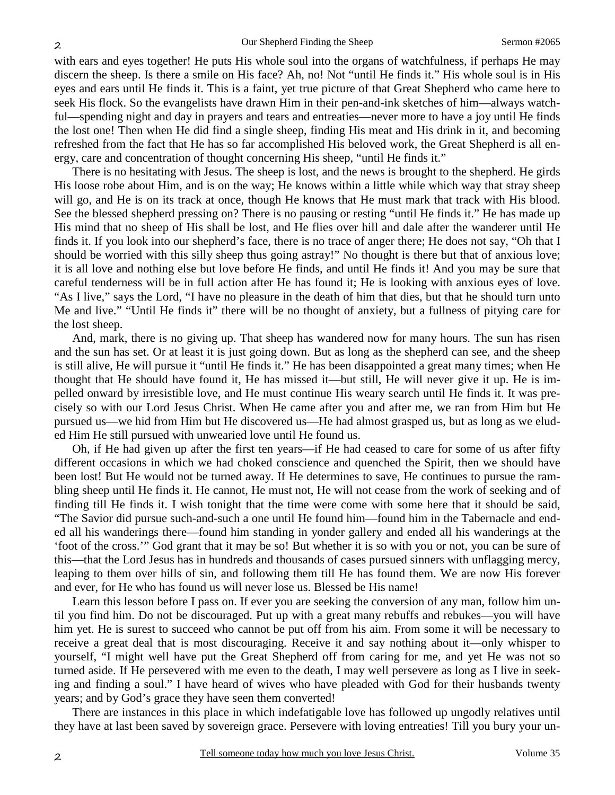with ears and eyes together! He puts His whole soul into the organs of watchfulness, if perhaps He may discern the sheep. Is there a smile on His face? Ah, no! Not "until He finds it." His whole soul is in His eyes and ears until He finds it. This is a faint, yet true picture of that Great Shepherd who came here to seek His flock. So the evangelists have drawn Him in their pen-and-ink sketches of him—always watchful—spending night and day in prayers and tears and entreaties—never more to have a joy until He finds the lost one! Then when He did find a single sheep, finding His meat and His drink in it, and becoming refreshed from the fact that He has so far accomplished His beloved work, the Great Shepherd is all energy, care and concentration of thought concerning His sheep, "until He finds it."

There is no hesitating with Jesus. The sheep is lost, and the news is brought to the shepherd. He girds His loose robe about Him, and is on the way; He knows within a little while which way that stray sheep will go, and He is on its track at once, though He knows that He must mark that track with His blood. See the blessed shepherd pressing on? There is no pausing or resting "until He finds it." He has made up His mind that no sheep of His shall be lost, and He flies over hill and dale after the wanderer until He finds it. If you look into our shepherd's face, there is no trace of anger there; He does not say, "Oh that I should be worried with this silly sheep thus going astray!" No thought is there but that of anxious love; it is all love and nothing else but love before He finds, and until He finds it! And you may be sure that careful tenderness will be in full action after He has found it; He is looking with anxious eyes of love. "As I live," says the Lord, "I have no pleasure in the death of him that dies, but that he should turn unto Me and live." "Until He finds it" there will be no thought of anxiety, but a fullness of pitying care for the lost sheep.

And, mark, there is no giving up. That sheep has wandered now for many hours. The sun has risen and the sun has set. Or at least it is just going down. But as long as the shepherd can see, and the sheep is still alive, He will pursue it "until He finds it." He has been disappointed a great many times; when He thought that He should have found it, He has missed it—but still, He will never give it up. He is impelled onward by irresistible love, and He must continue His weary search until He finds it. It was precisely so with our Lord Jesus Christ. When He came after you and after me, we ran from Him but He pursued us—we hid from Him but He discovered us—He had almost grasped us, but as long as we eluded Him He still pursued with unwearied love until He found us.

Oh, if He had given up after the first ten years—if He had ceased to care for some of us after fifty different occasions in which we had choked conscience and quenched the Spirit, then we should have been lost! But He would not be turned away. If He determines to save, He continues to pursue the rambling sheep until He finds it. He cannot, He must not, He will not cease from the work of seeking and of finding till He finds it. I wish tonight that the time were come with some here that it should be said, "The Savior did pursue such-and-such a one until He found him—found him in the Tabernacle and ended all his wanderings there—found him standing in yonder gallery and ended all his wanderings at the 'foot of the cross.'" God grant that it may be so! But whether it is so with you or not, you can be sure of this—that the Lord Jesus has in hundreds and thousands of cases pursued sinners with unflagging mercy, leaping to them over hills of sin, and following them till He has found them. We are now His forever and ever, for He who has found us will never lose us. Blessed be His name!

Learn this lesson before I pass on. If ever you are seeking the conversion of any man, follow him until you find him. Do not be discouraged. Put up with a great many rebuffs and rebukes—you will have him yet. He is surest to succeed who cannot be put off from his aim. From some it will be necessary to receive a great deal that is most discouraging. Receive it and say nothing about it—only whisper to yourself, "I might well have put the Great Shepherd off from caring for me, and yet He was not so turned aside. If He persevered with me even to the death, I may well persevere as long as I live in seeking and finding a soul." I have heard of wives who have pleaded with God for their husbands twenty years; and by God's grace they have seen them converted!

There are instances in this place in which indefatigable love has followed up ungodly relatives until they have at last been saved by sovereign grace. Persevere with loving entreaties! Till you bury your un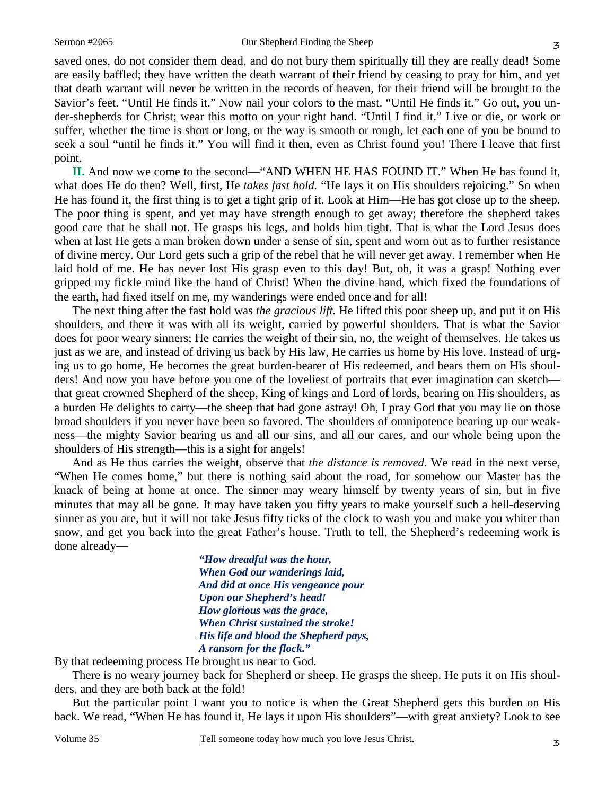saved ones, do not consider them dead, and do not bury them spiritually till they are really dead! Some are easily baffled; they have written the death warrant of their friend by ceasing to pray for him, and yet that death warrant will never be written in the records of heaven, for their friend will be brought to the Savior's feet. "Until He finds it." Now nail your colors to the mast. "Until He finds it." Go out, you under-shepherds for Christ; wear this motto on your right hand. "Until I find it." Live or die, or work or suffer, whether the time is short or long, or the way is smooth or rough, let each one of you be bound to seek a soul "until he finds it." You will find it then, even as Christ found you! There I leave that first point.

**II.** And now we come to the second—"AND WHEN HE HAS FOUND IT." When He has found it, what does He do then? Well, first, He *takes fast hold.* "He lays it on His shoulders rejoicing." So when He has found it, the first thing is to get a tight grip of it. Look at Him—He has got close up to the sheep. The poor thing is spent, and yet may have strength enough to get away; therefore the shepherd takes good care that he shall not. He grasps his legs, and holds him tight. That is what the Lord Jesus does when at last He gets a man broken down under a sense of sin, spent and worn out as to further resistance of divine mercy. Our Lord gets such a grip of the rebel that he will never get away. I remember when He laid hold of me. He has never lost His grasp even to this day! But, oh, it was a grasp! Nothing ever gripped my fickle mind like the hand of Christ! When the divine hand, which fixed the foundations of the earth, had fixed itself on me, my wanderings were ended once and for all!

The next thing after the fast hold was *the gracious lift.* He lifted this poor sheep up, and put it on His shoulders, and there it was with all its weight, carried by powerful shoulders. That is what the Savior does for poor weary sinners; He carries the weight of their sin, no, the weight of themselves. He takes us just as we are, and instead of driving us back by His law, He carries us home by His love. Instead of urging us to go home, He becomes the great burden-bearer of His redeemed, and bears them on His shoulders! And now you have before you one of the loveliest of portraits that ever imagination can sketch that great crowned Shepherd of the sheep, King of kings and Lord of lords, bearing on His shoulders, as a burden He delights to carry—the sheep that had gone astray! Oh, I pray God that you may lie on those broad shoulders if you never have been so favored. The shoulders of omnipotence bearing up our weakness—the mighty Savior bearing us and all our sins, and all our cares, and our whole being upon the shoulders of His strength—this is a sight for angels!

And as He thus carries the weight, observe that *the distance is removed.* We read in the next verse, "When He comes home," but there is nothing said about the road, for somehow our Master has the knack of being at home at once. The sinner may weary himself by twenty years of sin, but in five minutes that may all be gone. It may have taken you fifty years to make yourself such a hell-deserving sinner as you are, but it will not take Jesus fifty ticks of the clock to wash you and make you whiter than snow, and get you back into the great Father's house. Truth to tell, the Shepherd's redeeming work is done already—

> *"How dreadful was the hour, When God our wanderings laid, And did at once His vengeance pour Upon our Shepherd's head! How glorious was the grace, When Christ sustained the stroke! His life and blood the Shepherd pays, A ransom for the flock."*

By that redeeming process He brought us near to God.

There is no weary journey back for Shepherd or sheep. He grasps the sheep. He puts it on His shoulders, and they are both back at the fold!

But the particular point I want you to notice is when the Great Shepherd gets this burden on His back. We read, "When He has found it, He lays it upon His shoulders"—with great anxiety? Look to see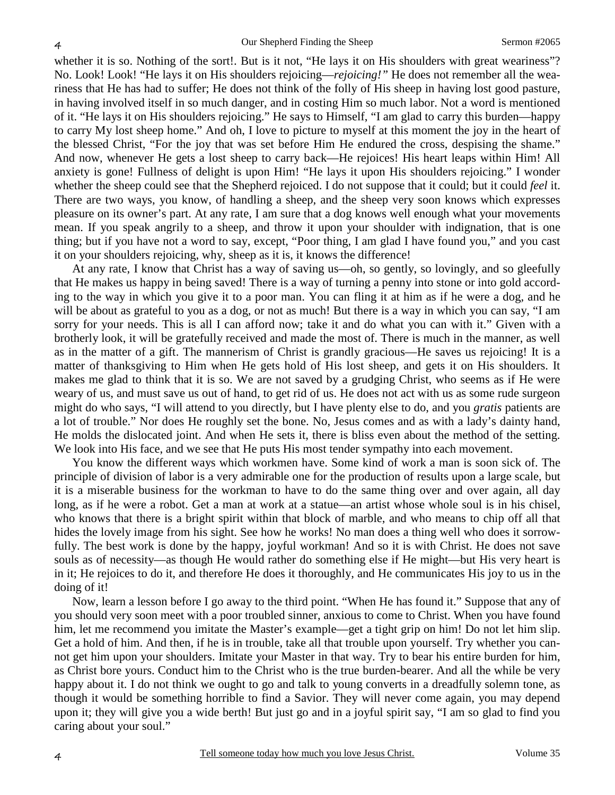whether it is so. Nothing of the sort!. But is it not, "He lays it on His shoulders with great weariness"? No. Look! Look! "He lays it on His shoulders rejoicing—*rejoicing!"* He does not remember all the weariness that He has had to suffer; He does not think of the folly of His sheep in having lost good pasture, in having involved itself in so much danger, and in costing Him so much labor. Not a word is mentioned of it. "He lays it on His shoulders rejoicing." He says to Himself, "I am glad to carry this burden—happy to carry My lost sheep home." And oh, I love to picture to myself at this moment the joy in the heart of the blessed Christ, "For the joy that was set before Him He endured the cross, despising the shame." And now, whenever He gets a lost sheep to carry back—He rejoices! His heart leaps within Him! All anxiety is gone! Fullness of delight is upon Him! "He lays it upon His shoulders rejoicing." I wonder whether the sheep could see that the Shepherd rejoiced. I do not suppose that it could; but it could *feel* it. There are two ways, you know, of handling a sheep, and the sheep very soon knows which expresses pleasure on its owner's part. At any rate, I am sure that a dog knows well enough what your movements mean. If you speak angrily to a sheep, and throw it upon your shoulder with indignation, that is one thing; but if you have not a word to say, except, "Poor thing, I am glad I have found you," and you cast it on your shoulders rejoicing, why, sheep as it is, it knows the difference!

At any rate, I know that Christ has a way of saving us—oh, so gently, so lovingly, and so gleefully that He makes us happy in being saved! There is a way of turning a penny into stone or into gold according to the way in which you give it to a poor man. You can fling it at him as if he were a dog, and he will be about as grateful to you as a dog, or not as much! But there is a way in which you can say, "I am sorry for your needs. This is all I can afford now; take it and do what you can with it." Given with a brotherly look, it will be gratefully received and made the most of. There is much in the manner, as well as in the matter of a gift. The mannerism of Christ is grandly gracious—He saves us rejoicing! It is a matter of thanksgiving to Him when He gets hold of His lost sheep, and gets it on His shoulders. It makes me glad to think that it is so. We are not saved by a grudging Christ, who seems as if He were weary of us, and must save us out of hand, to get rid of us. He does not act with us as some rude surgeon might do who says, "I will attend to you directly, but I have plenty else to do, and you *gratis* patients are a lot of trouble." Nor does He roughly set the bone. No, Jesus comes and as with a lady's dainty hand, He molds the dislocated joint. And when He sets it, there is bliss even about the method of the setting. We look into His face, and we see that He puts His most tender sympathy into each movement.

You know the different ways which workmen have. Some kind of work a man is soon sick of. The principle of division of labor is a very admirable one for the production of results upon a large scale, but it is a miserable business for the workman to have to do the same thing over and over again, all day long, as if he were a robot. Get a man at work at a statue—an artist whose whole soul is in his chisel, who knows that there is a bright spirit within that block of marble, and who means to chip off all that hides the lovely image from his sight. See how he works! No man does a thing well who does it sorrowfully. The best work is done by the happy, joyful workman! And so it is with Christ. He does not save souls as of necessity—as though He would rather do something else if He might—but His very heart is in it; He rejoices to do it, and therefore He does it thoroughly, and He communicates His joy to us in the doing of it!

Now, learn a lesson before I go away to the third point. "When He has found it." Suppose that any of you should very soon meet with a poor troubled sinner, anxious to come to Christ. When you have found him, let me recommend you imitate the Master's example—get a tight grip on him! Do not let him slip. Get a hold of him. And then, if he is in trouble, take all that trouble upon yourself. Try whether you cannot get him upon your shoulders. Imitate your Master in that way. Try to bear his entire burden for him, as Christ bore yours. Conduct him to the Christ who is the true burden-bearer. And all the while be very happy about it. I do not think we ought to go and talk to young converts in a dreadfully solemn tone, as though it would be something horrible to find a Savior. They will never come again, you may depend upon it; they will give you a wide berth! But just go and in a joyful spirit say, "I am so glad to find you caring about your soul."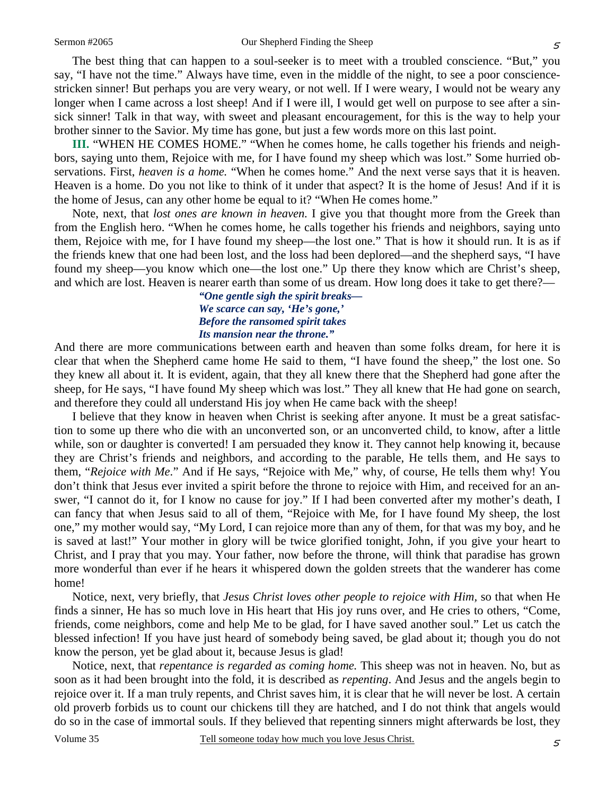The best thing that can happen to a soul-seeker is to meet with a troubled conscience. "But," you say, "I have not the time." Always have time, even in the middle of the night, to see a poor consciencestricken sinner! But perhaps you are very weary, or not well. If I were weary, I would not be weary any longer when I came across a lost sheep! And if I were ill, I would get well on purpose to see after a sinsick sinner! Talk in that way, with sweet and pleasant encouragement, for this is the way to help your brother sinner to the Savior. My time has gone, but just a few words more on this last point.

**III.** "WHEN HE COMES HOME." "When he comes home, he calls together his friends and neighbors, saying unto them, Rejoice with me, for I have found my sheep which was lost." Some hurried observations. First, *heaven is a home.* "When he comes home." And the next verse says that it is heaven. Heaven is a home. Do you not like to think of it under that aspect? It is the home of Jesus! And if it is the home of Jesus, can any other home be equal to it? "When He comes home."

Note, next, that *lost ones are known in heaven.* I give you that thought more from the Greek than from the English hero. "When he comes home, he calls together his friends and neighbors, saying unto them, Rejoice with me, for I have found my sheep—the lost one." That is how it should run. It is as if the friends knew that one had been lost, and the loss had been deplored—and the shepherd says, "I have found my sheep—you know which one—the lost one." Up there they know which are Christ's sheep, and which are lost. Heaven is nearer earth than some of us dream. How long does it take to get there?—

#### *"One gentle sigh the spirit breaks— We scarce can say, 'He's gone,' Before the ransomed spirit takes Its mansion near the throne."*

And there are more communications between earth and heaven than some folks dream, for here it is clear that when the Shepherd came home He said to them, "I have found the sheep," the lost one. So they knew all about it. It is evident, again, that they all knew there that the Shepherd had gone after the sheep, for He says, "I have found My sheep which was lost." They all knew that He had gone on search, and therefore they could all understand His joy when He came back with the sheep!

I believe that they know in heaven when Christ is seeking after anyone. It must be a great satisfaction to some up there who die with an unconverted son, or an unconverted child, to know, after a little while, son or daughter is converted! I am persuaded they know it. They cannot help knowing it, because they are Christ's friends and neighbors, and according to the parable, He tells them, and He says to them, "*Rejoice with Me*." And if He says, "Rejoice with Me," why, of course, He tells them why! You don't think that Jesus ever invited a spirit before the throne to rejoice with Him, and received for an answer, "I cannot do it, for I know no cause for joy." If I had been converted after my mother's death, I can fancy that when Jesus said to all of them, "Rejoice with Me, for I have found My sheep, the lost one," my mother would say, "My Lord, I can rejoice more than any of them, for that was my boy, and he is saved at last!" Your mother in glory will be twice glorified tonight, John, if you give your heart to Christ, and I pray that you may. Your father, now before the throne, will think that paradise has grown more wonderful than ever if he hears it whispered down the golden streets that the wanderer has come home!

Notice, next, very briefly, that *Jesus Christ loves other people to rejoice with Him,* so that when He finds a sinner, He has so much love in His heart that His joy runs over, and He cries to others, "Come, friends, come neighbors, come and help Me to be glad, for I have saved another soul." Let us catch the blessed infection! If you have just heard of somebody being saved, be glad about it; though you do not know the person, yet be glad about it, because Jesus is glad!

Notice, next, that *repentance is regarded as coming home.* This sheep was not in heaven. No, but as soon as it had been brought into the fold, it is described as *repenting*. And Jesus and the angels begin to rejoice over it. If a man truly repents, and Christ saves him, it is clear that he will never be lost. A certain old proverb forbids us to count our chickens till they are hatched, and I do not think that angels would do so in the case of immortal souls. If they believed that repenting sinners might afterwards be lost, they